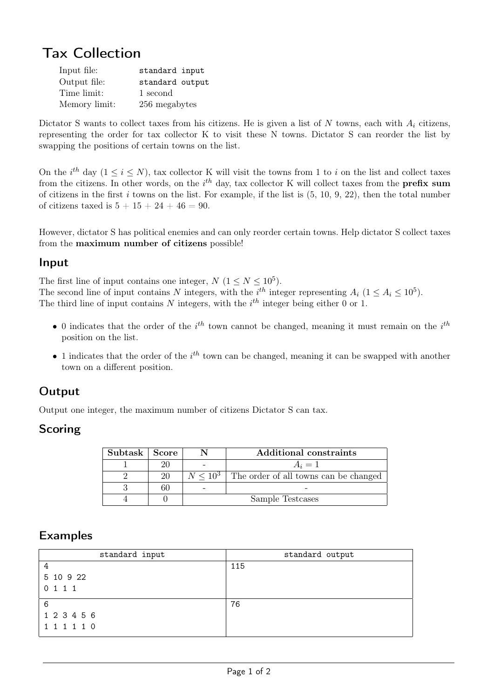# Tax Collection

| Input file:   | standard input  |  |
|---------------|-----------------|--|
| Output file:  | standard output |  |
| Time limit:   | 1 second        |  |
| Memory limit: | 256 megabytes   |  |

Dictator S wants to collect taxes from his citizens. He is given a list of N towns, each with  $A_i$  citizens, representing the order for tax collector K to visit these N towns. Dictator S can reorder the list by swapping the positions of certain towns on the list.

On the i<sup>th</sup> day  $(1 \le i \le N)$ , tax collector K will visit the towns from 1 to i on the list and collect taxes from the citizens. In other words, on the  $i^{th}$  day, tax collector K will collect taxes from the **prefix sum** of citizens in the first  $i$  towns on the list. For example, if the list is  $(5, 10, 9, 22)$ , then the total number of citizens taxed is  $5 + 15 + 24 + 46 = 90$ .

However, dictator S has political enemies and can only reorder certain towns. Help dictator S collect taxes from the maximum number of citizens possible!

#### Input

The first line of input contains one integer,  $N$   $(1 \le N \le 10^5)$ . The second line of input contains N integers, with the  $i^{th}$  integer representing  $A_i$   $(1 \leq A_i \leq 10^5)$ . The third line of input contains N integers, with the  $i<sup>th</sup>$  integer being either 0 or 1.

- 0 indicates that the order of the  $i^{th}$  town cannot be changed, meaning it must remain on the  $i^{th}$ position on the list.
- 1 indicates that the order of the  $i^{th}$  town can be changed, meaning it can be swapped with another town on a different position.

## **Output**

Output one integer, the maximum number of citizens Dictator S can tax.

#### Scoring

| Subtask   Score |    |                  | Additional constraints                              |
|-----------------|----|------------------|-----------------------------------------------------|
|                 |    |                  | $A_i=1$                                             |
|                 | 20 |                  | $N \leq 10^3$ The order of all towns can be changed |
|                 |    |                  |                                                     |
|                 |    | Sample Testcases |                                                     |

## Examples

| standard input | standard output |
|----------------|-----------------|
| 4              | 115             |
| 5 10 9 22      |                 |
| 0 1 1 1        |                 |
| 6              | 76              |
| 1 2 3 4 5 6    |                 |
| 1 1 1 1 1 0    |                 |